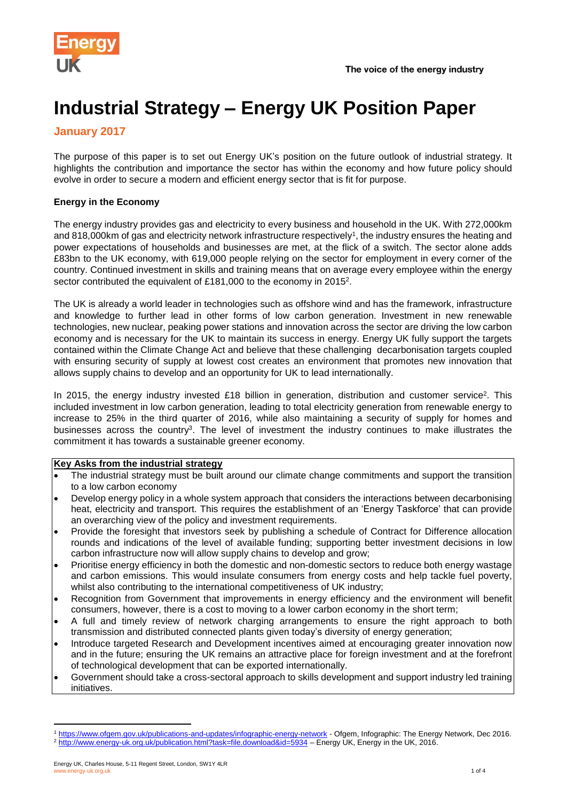

# **Industrial Strategy – Energy UK Position Paper**

## **January 2017**

The purpose of this paper is to set out Energy UK's position on the future outlook of industrial strategy. It highlights the contribution and importance the sector has within the economy and how future policy should evolve in order to secure a modern and efficient energy sector that is fit for purpose.

#### **Energy in the Economy**

The energy industry provides gas and electricity to every business and household in the UK. With 272,000km and 818,000km of gas and electricity network infrastructure respectively<sup>1</sup>, the industry ensures the heating and power expectations of households and businesses are met, at the flick of a switch. The sector alone adds £83bn to the UK economy, with 619,000 people relying on the sector for employment in every corner of the country. Continued investment in skills and training means that on average every employee within the energy sector contributed the equivalent of £181,000 to the economy in 2015<sup>2</sup>.

The UK is already a world leader in technologies such as offshore wind and has the framework, infrastructure and knowledge to further lead in other forms of low carbon generation. Investment in new renewable technologies, new nuclear, peaking power stations and innovation across the sector are driving the low carbon economy and is necessary for the UK to maintain its success in energy. Energy UK fully support the targets contained within the Climate Change Act and believe that these challenging decarbonisation targets coupled with ensuring security of supply at lowest cost creates an environment that promotes new innovation that allows supply chains to develop and an opportunity for UK to lead internationally.

In 2015, the energy industry invested £18 billion in generation, distribution and customer service<sup>2</sup>. This included investment in low carbon generation, leading to total electricity generation from renewable energy to increase to 25% in the third quarter of 2016, while also maintaining a security of supply for homes and businesses across the country<sup>3</sup>. The level of investment the industry continues to make illustrates the commitment it has towards a sustainable greener economy.

#### **Key Asks from the industrial strategy**

- The industrial strategy must be built around our climate change commitments and support the transition to a low carbon economy
- Develop energy policy in a whole system approach that considers the interactions between decarbonising heat, electricity and transport. This requires the establishment of an 'Energy Taskforce' that can provide an overarching view of the policy and investment requirements.
- Provide the foresight that investors seek by publishing a schedule of Contract for Difference allocation rounds and indications of the level of available funding; supporting better investment decisions in low carbon infrastructure now will allow supply chains to develop and grow;
- Prioritise energy efficiency in both the domestic and non-domestic sectors to reduce both energy wastage and carbon emissions. This would insulate consumers from energy costs and help tackle fuel poverty, whilst also contributing to the international competitiveness of UK industry;
- Recognition from Government that improvements in energy efficiency and the environment will benefit consumers, however, there is a cost to moving to a lower carbon economy in the short term;
- A full and timely review of network charging arrangements to ensure the right approach to both transmission and distributed connected plants given today's diversity of energy generation;
- Introduce targeted Research and Development incentives aimed at encouraging greater innovation now and in the future; ensuring the UK remains an attractive place for foreign investment and at the forefront of technological development that can be exported internationally.
- Government should take a cross-sectoral approach to skills development and support industry led training initiatives.

 $\overline{a}$ 

<sup>1</sup> <https://www.ofgem.gov.uk/publications-and-updates/infographic-energy-network> - Ofgem, Infographic: The Energy Network, Dec 2016. <sup>2</sup> <http://www.energy-uk.org.uk/publication.html?task=file.download&id=5934> – Energy UK, Energy in the UK, 2016.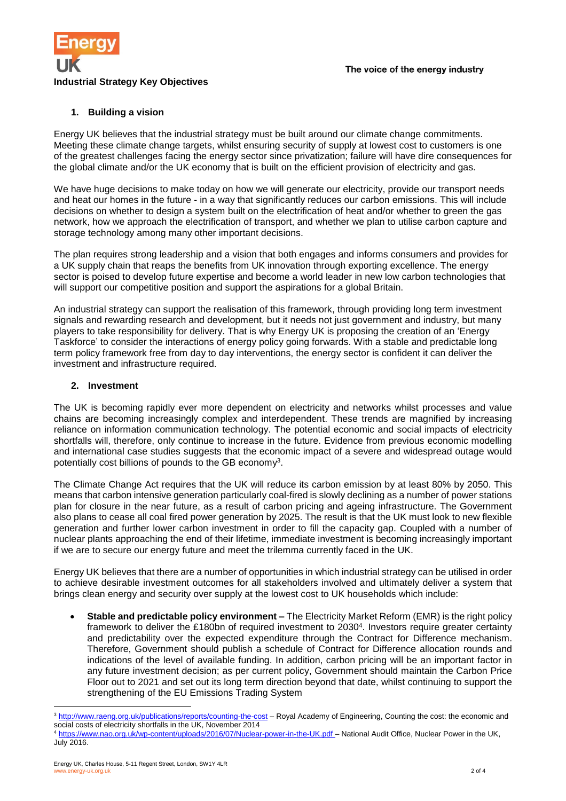

#### **1. Building a vision**

Energy UK believes that the industrial strategy must be built around our climate change commitments. Meeting these climate change targets, whilst ensuring security of supply at lowest cost to customers is one of the greatest challenges facing the energy sector since privatization; failure will have dire consequences for the global climate and/or the UK economy that is built on the efficient provision of electricity and gas.

We have huge decisions to make today on how we will generate our electricity, provide our transport needs and heat our homes in the future - in a way that significantly reduces our carbon emissions. This will include decisions on whether to design a system built on the electrification of heat and/or whether to green the gas network, how we approach the electrification of transport, and whether we plan to utilise carbon capture and storage technology among many other important decisions.

The plan requires strong leadership and a vision that both engages and informs consumers and provides for a UK supply chain that reaps the benefits from UK innovation through exporting excellence. The energy sector is poised to develop future expertise and become a world leader in new low carbon technologies that will support our competitive position and support the aspirations for a global Britain.

An industrial strategy can support the realisation of this framework, through providing long term investment signals and rewarding research and development, but it needs not just government and industry, but many players to take responsibility for delivery. That is why Energy UK is proposing the creation of an 'Energy Taskforce' to consider the interactions of energy policy going forwards. With a stable and predictable long term policy framework free from day to day interventions, the energy sector is confident it can deliver the investment and infrastructure required.

#### **2. Investment**

The UK is becoming rapidly ever more dependent on electricity and networks whilst processes and value chains are becoming increasingly complex and interdependent. These trends are magnified by increasing reliance on information communication technology. The potential economic and social impacts of electricity shortfalls will, therefore, only continue to increase in the future. Evidence from previous economic modelling and international case studies suggests that the economic impact of a severe and widespread outage would potentially cost billions of pounds to the GB economy<sup>3</sup>.

The Climate Change Act requires that the UK will reduce its carbon emission by at least 80% by 2050. This means that carbon intensive generation particularly coal-fired is slowly declining as a number of power stations plan for closure in the near future, as a result of carbon pricing and ageing infrastructure. The Government also plans to cease all coal fired power generation by 2025. The result is that the UK must look to new flexible generation and further lower carbon investment in order to fill the capacity gap. Coupled with a number of nuclear plants approaching the end of their lifetime, immediate investment is becoming increasingly important if we are to secure our energy future and meet the trilemma currently faced in the UK.

Energy UK believes that there are a number of opportunities in which industrial strategy can be utilised in order to achieve desirable investment outcomes for all stakeholders involved and ultimately deliver a system that brings clean energy and security over supply at the lowest cost to UK households which include:

 **Stable and predictable policy environment –** The Electricity Market Reform (EMR) is the right policy framework to deliver the £180bn of required investment to 2030<sup>4</sup> . Investors require greater certainty and predictability over the expected expenditure through the Contract for Difference mechanism. Therefore, Government should publish a schedule of Contract for Difference allocation rounds and indications of the level of available funding. In addition, carbon pricing will be an important factor in any future investment decision; as per current policy, Government should maintain the Carbon Price Floor out to 2021 and set out its long term direction beyond that date, whilst continuing to support the strengthening of the EU Emissions Trading System

 $\overline{a}$ 

<sup>&</sup>lt;sup>3</sup> <http://www.raeng.org.uk/publications/reports/counting-the-cost></u> – Royal Academy of Engineering, Counting the cost: the economic and social costs of electricity shortfalls in the UK, November 2014

<sup>4</sup> <https://www.nao.org.uk/wp-content/uploads/2016/07/Nuclear-power-in-the-UK.pdf> - National Audit Office, Nuclear Power in the UK, July 2016.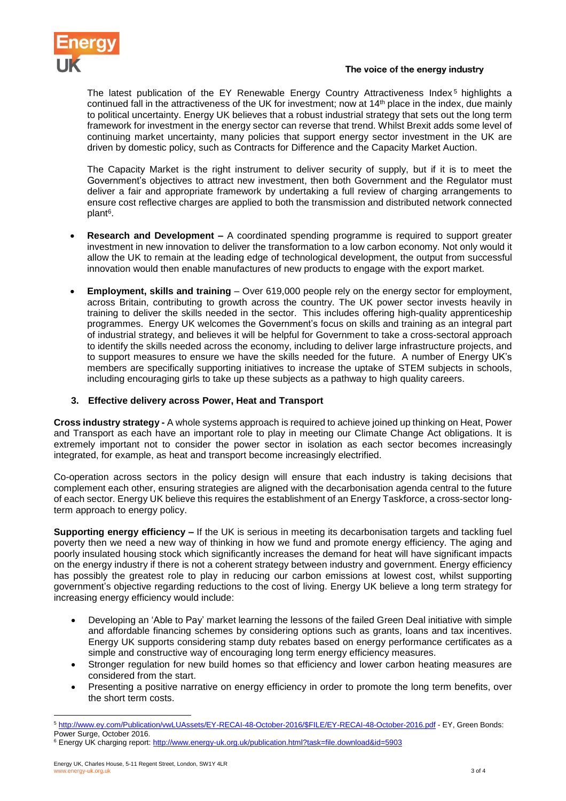

#### The voice of the energy industry

The latest publication of the EY Renewable Energy Country Attractiveness Index<sup>5</sup> highlights a continued fall in the attractiveness of the UK for investment; now at 14<sup>th</sup> place in the index, due mainly to political uncertainty. Energy UK believes that a robust industrial strategy that sets out the long term framework for investment in the energy sector can reverse that trend. Whilst Brexit adds some level of continuing market uncertainty, many policies that support energy sector investment in the UK are driven by domestic policy, such as Contracts for Difference and the Capacity Market Auction.

The Capacity Market is the right instrument to deliver security of supply, but if it is to meet the Government's objectives to attract new investment, then both Government and the Regulator must deliver a fair and appropriate framework by undertaking a full review of charging arrangements to ensure cost reflective charges are applied to both the transmission and distributed network connected plant<sup>6</sup>.

- **Research and Development –** A coordinated spending programme is required to support greater investment in new innovation to deliver the transformation to a low carbon economy. Not only would it allow the UK to remain at the leading edge of technological development, the output from successful innovation would then enable manufactures of new products to engage with the export market.
- **Employment, skills and training** Over 619,000 people rely on the energy sector for employment, across Britain, contributing to growth across the country. The UK power sector invests heavily in training to deliver the skills needed in the sector. This includes offering high-quality apprenticeship programmes. Energy UK welcomes the Government's focus on skills and training as an integral part of industrial strategy, and believes it will be helpful for Government to take a cross-sectoral approach to identify the skills needed across the economy, including to deliver large infrastructure projects, and to support measures to ensure we have the skills needed for the future. A number of Energy UK's members are specifically supporting initiatives to increase the uptake of STEM subjects in schools, including encouraging girls to take up these subjects as a pathway to high quality careers.

#### **3. Effective delivery across Power, Heat and Transport**

**Cross industry strategy -** A whole systems approach is required to achieve joined up thinking on Heat, Power and Transport as each have an important role to play in meeting our Climate Change Act obligations. It is extremely important not to consider the power sector in isolation as each sector becomes increasingly integrated, for example, as heat and transport become increasingly electrified.

Co-operation across sectors in the policy design will ensure that each industry is taking decisions that complement each other, ensuring strategies are aligned with the decarbonisation agenda central to the future of each sector. Energy UK believe this requires the establishment of an Energy Taskforce, a cross-sector longterm approach to energy policy.

**Supporting energy efficiency –** If the UK is serious in meeting its decarbonisation targets and tackling fuel poverty then we need a new way of thinking in how we fund and promote energy efficiency. The aging and poorly insulated housing stock which significantly increases the demand for heat will have significant impacts on the energy industry if there is not a coherent strategy between industry and government. Energy efficiency has possibly the greatest role to play in reducing our carbon emissions at lowest cost, whilst supporting government's objective regarding reductions to the cost of living. Energy UK believe a long term strategy for increasing energy efficiency would include:

- Developing an 'Able to Pay' market learning the lessons of the failed Green Deal initiative with simple and affordable financing schemes by considering options such as grants, loans and tax incentives. Energy UK supports considering stamp duty rebates based on energy performance certificates as a simple and constructive way of encouraging long term energy efficiency measures.
- Stronger regulation for new build homes so that efficiency and lower carbon heating measures are considered from the start.
- Presenting a positive narrative on energy efficiency in order to promote the long term benefits, over the short term costs.

 $\overline{a}$ 5 [http://www.ey.com/Publication/vwLUAssets/EY-RECAI-48-October-2016/\\$FILE/EY-RECAI-48-October-2016.pdf](http://www.ey.com/Publication/vwLUAssets/EY-RECAI-48-October-2016/$FILE/EY-RECAI-48-October-2016.pdf) - EY, Green Bonds: Power Surge, October 2016.

<sup>&</sup>lt;sup>6</sup> Energy UK charging report: <http://www.energy-uk.org.uk/publication.html?task=file.download&id=5903>